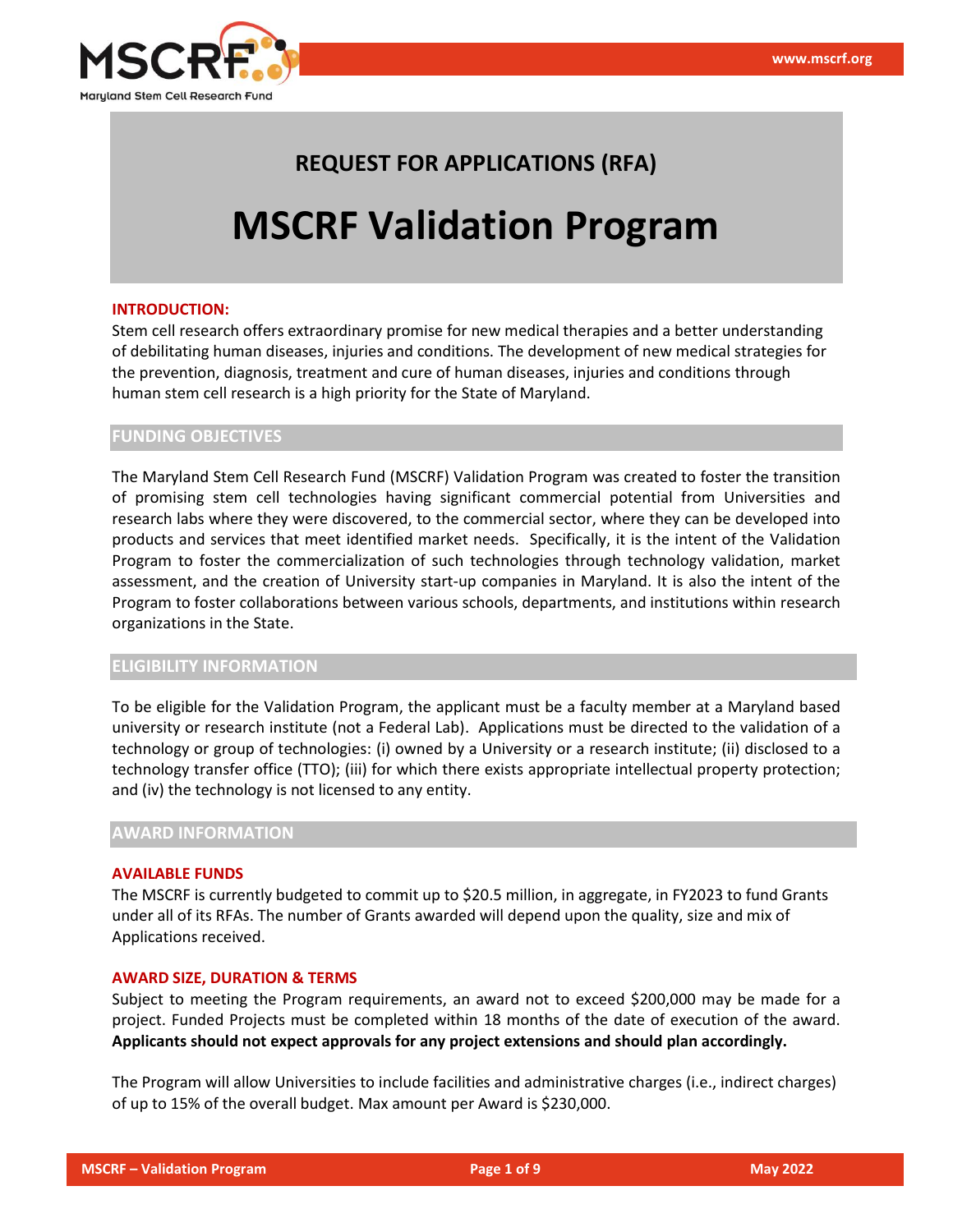

# **REQUEST FOR APPLICATIONS (RFA)**

# **MSCRF Validation Program**

#### **INTRODUCTION:**

Stem cell research offers extraordinary promise for new medical therapies and a better understanding of debilitating human diseases, injuries and conditions. The development of new medical strategies for the prevention, diagnosis, treatment and cure of human diseases, injuries and conditions through human stem cell research is a high priority for the State of Maryland.

### **FUNDING OBJECTIVES**

The Maryland Stem Cell Research Fund (MSCRF) Validation Program was created to foster the transition of promising stem cell technologies having significant commercial potential from Universities and research labs where they were discovered, to the commercial sector, where they can be developed into products and services that meet identified market needs. Specifically, it is the intent of the Validation Program to foster the commercialization of such technologies through technology validation, market assessment, and the creation of University start-up companies in Maryland. It is also the intent of the Program to foster collaborations between various schools, departments, and institutions within research organizations in the State.

#### **ELIGIBILITY INFORMATION**

To be eligible for the Validation Program, the applicant must be a faculty member at a Maryland based university or research institute (not a Federal Lab). Applications must be directed to the validation of a technology or group of technologies: (i) owned by a University or a research institute; (ii) disclosed to a technology transfer office (TTO); (iii) for which there exists appropriate intellectual property protection; and (iv) the technology is not licensed to any entity.

#### **AWARD INFORMATION**

#### **AVAILABLE FUNDS**

The MSCRF is currently budgeted to commit up to \$20.5 million, in aggregate, in FY2023 to fund Grants under all of its RFAs. The number of Grants awarded will depend upon the quality, size and mix of Applications received.

#### **AWARD SIZE, DURATION & TERMS**

Subject to meeting the Program requirements, an award not to exceed \$200,000 may be made for a project. Funded Projects must be completed within 18 months of the date of execution of the award. **Applicants should not expect approvals for any project extensions and should plan accordingly.**

The Program will allow Universities to include facilities and administrative charges (i.e., indirect charges) of up to 15% of the overall budget. Max amount per Award is \$230,000.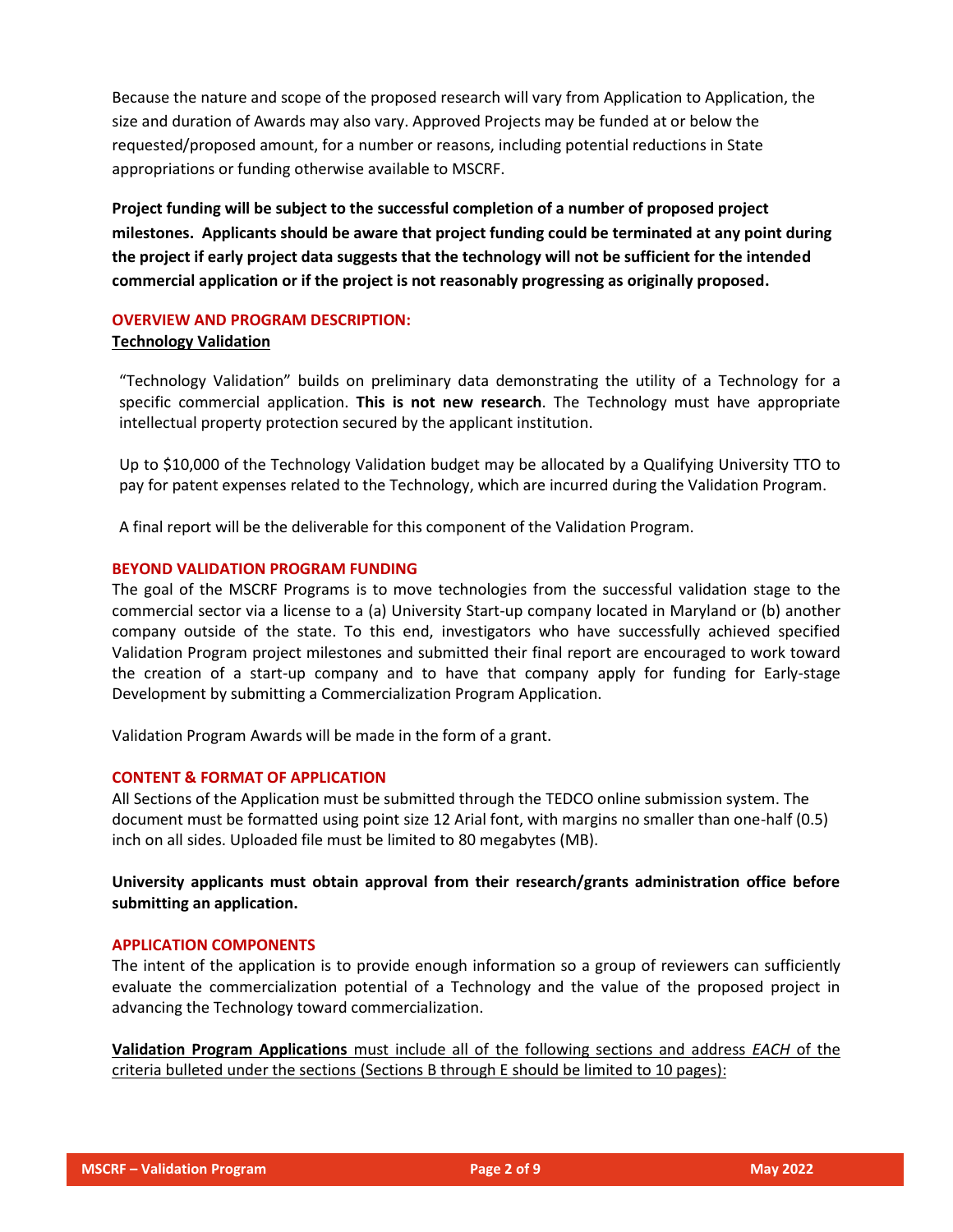Because the nature and scope of the proposed research will vary from Application to Application, the size and duration of Awards may also vary. Approved Projects may be funded at or below the requested/proposed amount, for a number or reasons, including potential reductions in State appropriations or funding otherwise available to MSCRF.

**Project funding will be subject to the successful completion of a number of proposed project milestones. Applicants should be aware that project funding could be terminated at any point during the project if early project data suggests that the technology will not be sufficient for the intended commercial application or if the project is not reasonably progressing as originally proposed.**

# **OVERVIEW AND PROGRAM DESCRIPTION:**

# **Technology Validation**

"Technology Validation" builds on preliminary data demonstrating the utility of a Technology for a specific commercial application. **This is not new research**. The Technology must have appropriate intellectual property protection secured by the applicant institution.

Up to \$10,000 of the Technology Validation budget may be allocated by a Qualifying University TTO to pay for patent expenses related to the Technology, which are incurred during the Validation Program.

A final report will be the deliverable for this component of the Validation Program.

# **BEYOND VALIDATION PROGRAM FUNDING**

The goal of the MSCRF Programs is to move technologies from the successful validation stage to the commercial sector via a license to a (a) University Start-up company located in Maryland or (b) another company outside of the state. To this end, investigators who have successfully achieved specified Validation Program project milestones and submitted their final report are encouraged to work toward the creation of a start-up company and to have that company apply for funding for Early-stage Development by submitting a Commercialization Program Application.

Validation Program Awards will be made in the form of a grant.

# **CONTENT & FORMAT OF APPLICATION**

All Sections of the Application must be submitted through the TEDCO online submission system. The document must be formatted using point size 12 Arial font, with margins no smaller than one-half (0.5) inch on all sides. Uploaded file must be limited to 80 megabytes (MB).

# **University applicants must obtain approval from their research/grants administration office before submitting an application.**

# **APPLICATION COMPONENTS**

The intent of the application is to provide enough information so a group of reviewers can sufficiently evaluate the commercialization potential of a Technology and the value of the proposed project in advancing the Technology toward commercialization.

**Validation Program Applications** must include all of the following sections and address *EACH* of the criteria bulleted under the sections (Sections B through E should be limited to 10 pages):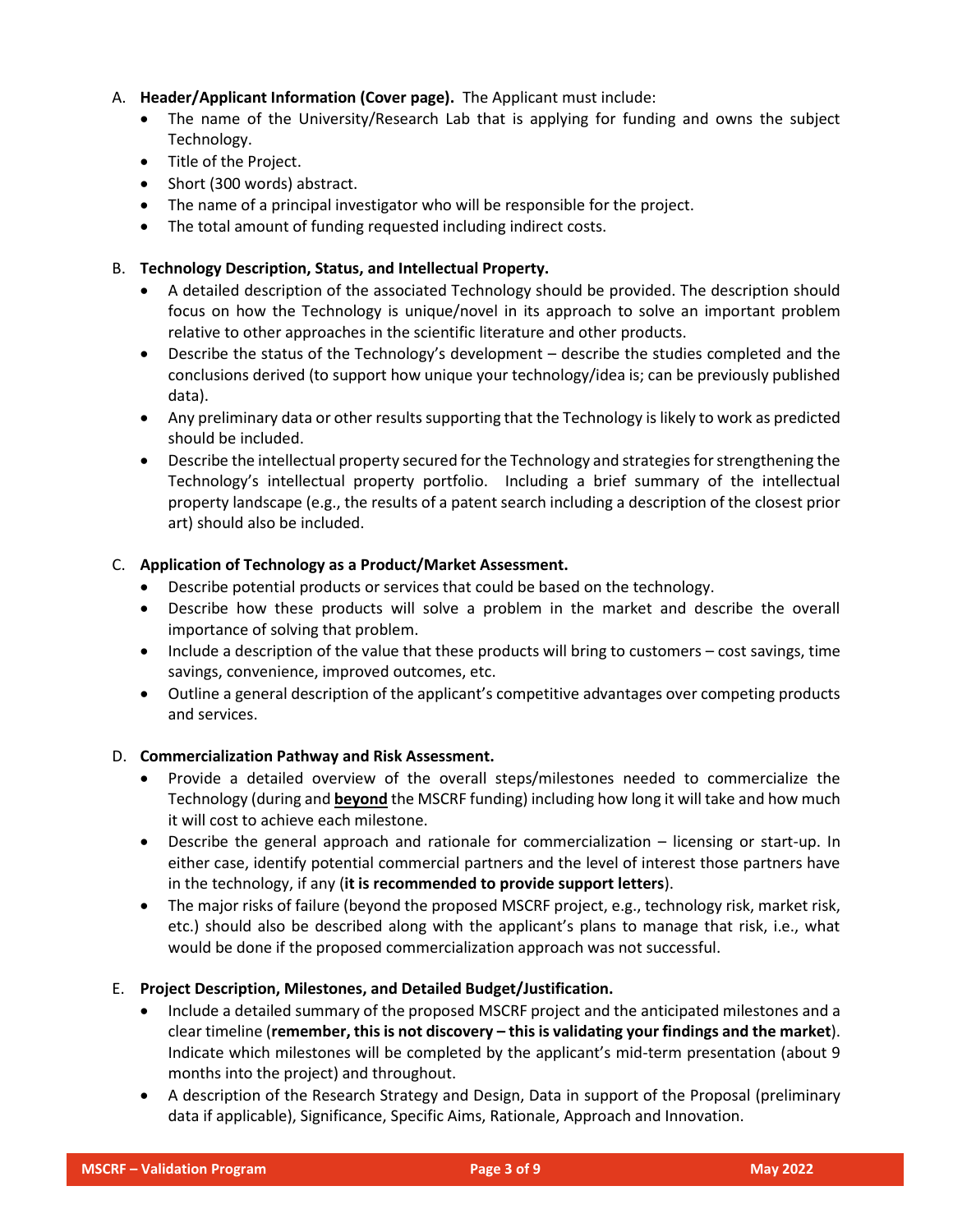# A. **Header/Applicant Information (Cover page).** The Applicant must include:

- The name of the University/Research Lab that is applying for funding and owns the subject Technology.
- Title of the Project.
- Short (300 words) abstract.
- The name of a principal investigator who will be responsible for the project.
- The total amount of funding requested including indirect costs.

# B. **Technology Description, Status, and Intellectual Property.**

- A detailed description of the associated Technology should be provided. The description should focus on how the Technology is unique/novel in its approach to solve an important problem relative to other approaches in the scientific literature and other products.
- Describe the status of the Technology's development describe the studies completed and the conclusions derived (to support how unique your technology/idea is; can be previously published data).
- Any preliminary data or other results supporting that the Technology is likely to work as predicted should be included.
- Describe the intellectual property secured for the Technology and strategies for strengthening the Technology's intellectual property portfolio. Including a brief summary of the intellectual property landscape (e.g., the results of a patent search including a description of the closest prior art) should also be included.

# C. **Application of Technology as a Product/Market Assessment.**

- Describe potential products or services that could be based on the technology.
- Describe how these products will solve a problem in the market and describe the overall importance of solving that problem.
- Include a description of the value that these products will bring to customers cost savings, time savings, convenience, improved outcomes, etc.
- Outline a general description of the applicant's competitive advantages over competing products and services.

# D. **Commercialization Pathway and Risk Assessment.**

- Provide a detailed overview of the overall steps/milestones needed to commercialize the Technology (during and **beyond** the MSCRF funding) including how long it will take and how much it will cost to achieve each milestone.
- Describe the general approach and rationale for commercialization licensing or start-up. In either case, identify potential commercial partners and the level of interest those partners have in the technology, if any (**it is recommended to provide support letters**).
- The major risks of failure (beyond the proposed MSCRF project, e.g., technology risk, market risk, etc.) should also be described along with the applicant's plans to manage that risk, i.e., what would be done if the proposed commercialization approach was not successful.

# E. **Project Description, Milestones, and Detailed Budget/Justification.**

- Include a detailed summary of the proposed MSCRF project and the anticipated milestones and a clear timeline (**remember, this is not discovery – this is validating your findings and the market**). Indicate which milestones will be completed by the applicant's mid-term presentation (about 9 months into the project) and throughout.
- A description of the Research Strategy and Design, Data in support of the Proposal (preliminary data if applicable), Significance, Specific Aims, Rationale, Approach and Innovation.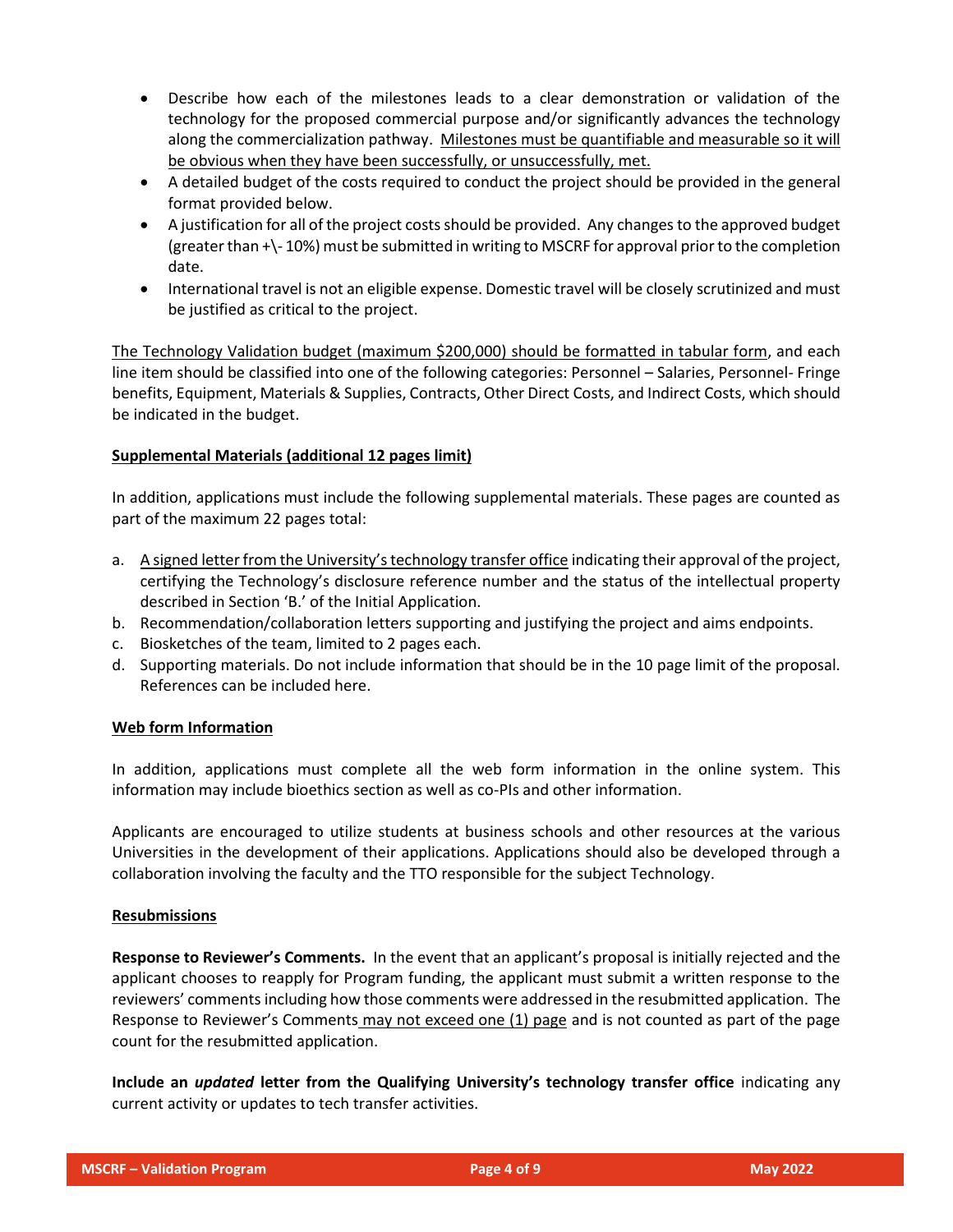- Describe how each of the milestones leads to a clear demonstration or validation of the technology for the proposed commercial purpose and/or significantly advances the technology along the commercialization pathway. Milestones must be quantifiable and measurable so it will be obvious when they have been successfully, or unsuccessfully, met.
- A detailed budget of the costs required to conduct the project should be provided in the general format provided below.
- A justification for all of the project costs should be provided. Any changes to the approved budget (greater than +\- 10%) must be submitted in writing to MSCRF for approval prior to the completion date.
- International travel is not an eligible expense. Domestic travel will be closely scrutinized and must be justified as critical to the project.

The Technology Validation budget (maximum \$200,000) should be formatted in tabular form, and each line item should be classified into one of the following categories: Personnel – Salaries, Personnel- Fringe benefits, Equipment, Materials & Supplies, Contracts, Other Direct Costs, and Indirect Costs, which should be indicated in the budget.

# **Supplemental Materials (additional 12 pages limit)**

In addition, applications must include the following supplemental materials. These pages are counted as part of the maximum 22 pages total:

- a. A signed letter from the University's technology transfer office indicating their approval of the project, certifying the Technology's disclosure reference number and the status of the intellectual property described in Section 'B.' of the Initial Application.
- b. Recommendation/collaboration letters supporting and justifying the project and aims endpoints.
- c. Biosketches of the team, limited to 2 pages each.
- d. Supporting materials. Do not include information that should be in the 10 page limit of the proposal. References can be included here.

# **Web form Information**

In addition, applications must complete all the web form information in the online system. This information may include bioethics section as well as co-PIs and other information.

Applicants are encouraged to utilize students at business schools and other resources at the various Universities in the development of their applications. Applications should also be developed through a collaboration involving the faculty and the TTO responsible for the subject Technology.

# **Resubmissions**

**Response to Reviewer's Comments.** In the event that an applicant's proposal is initially rejected and the applicant chooses to reapply for Program funding, the applicant must submit a written response to the reviewers' comments including how those comments were addressed in the resubmitted application. The Response to Reviewer's Comments may not exceed one (1) page and is not counted as part of the page count for the resubmitted application.

**Include an** *updated* **letter from the Qualifying University's technology transfer office** indicating any current activity or updates to tech transfer activities.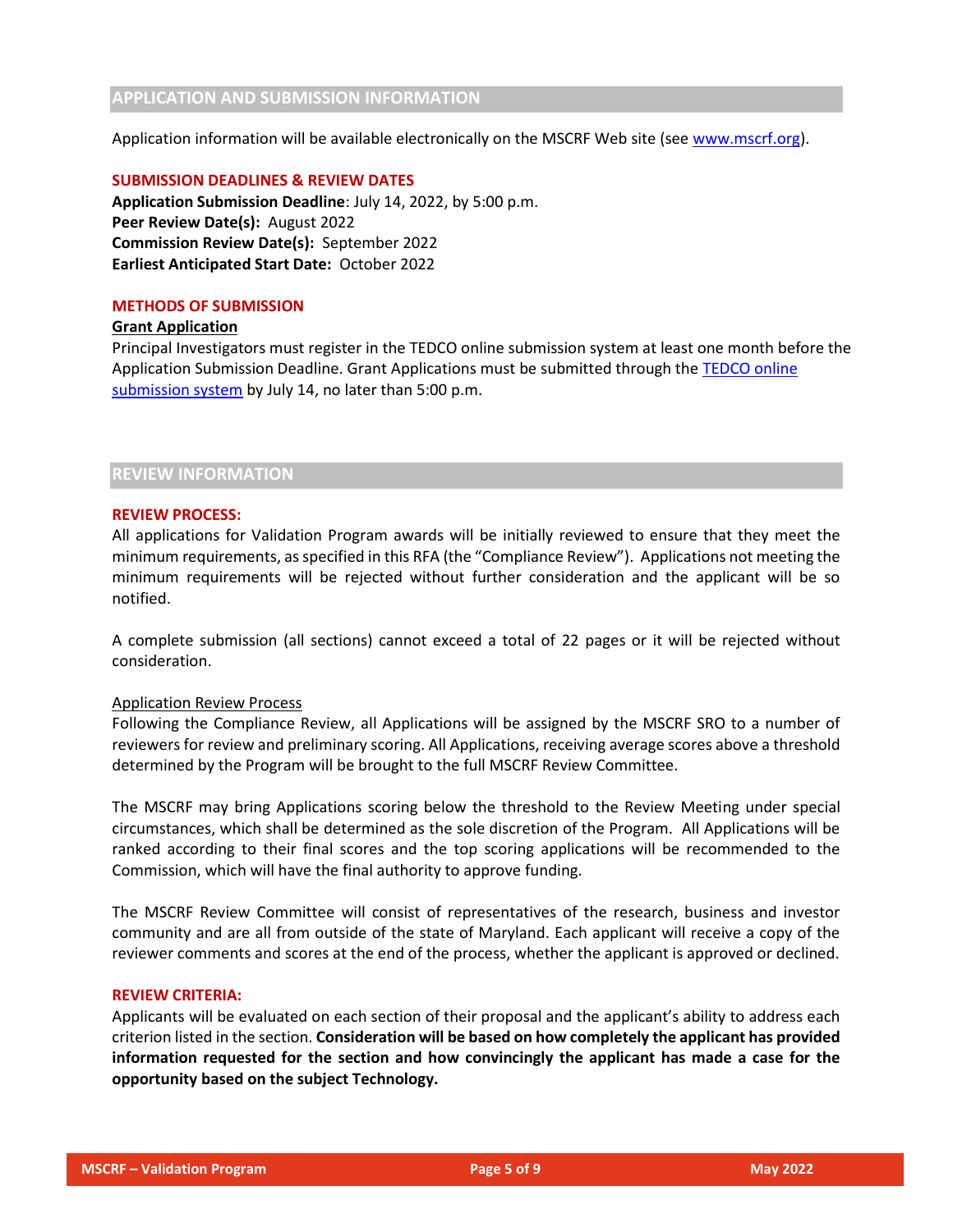# **APPLICATION AND SUBMISSION INFORMATION**

Application information will be available electronically on the MSCRF Web site (see [www.mscrf.org\)](http://www.mscrf.org/).

#### **SUBMISSION DEADLINES & REVIEW DATES**

**Application Submission Deadline**: July 14, 2022, by 5:00 p.m. **Peer Review Date(s):** August 2022 **Commission Review Date(s):** September 2022 **Earliest Anticipated Start Date:** October 2022

# **METHODS OF SUBMISSION**

#### **Grant Application**

Principal Investigators must register in the TEDCO online submission system at least one month before the Application Submission Deadline. Grant Applications must be submitted through the [TEDCO online](https://jlweb.co/prod1/portal/portal.jsp?c=2222979&p=5503280&g=5597611)  [submission system](https://jlweb.co/prod1/portal/portal.jsp?c=2222979&p=5503280&g=5597611) by July 14, no later than 5:00 p.m.

### **REVIEW INFORMATION**

#### **REVIEW PROCESS:**

All applications for Validation Program awards will be initially reviewed to ensure that they meet the minimum requirements, as specified in this RFA (the "Compliance Review"). Applications not meeting the minimum requirements will be rejected without further consideration and the applicant will be so notified.

A complete submission (all sections) cannot exceed a total of 22 pages or it will be rejected without consideration.

#### Application Review Process

Following the Compliance Review, all Applications will be assigned by the MSCRF SRO to a number of reviewers for review and preliminary scoring. All Applications, receiving average scores above a threshold determined by the Program will be brought to the full MSCRF Review Committee.

The MSCRF may bring Applications scoring below the threshold to the Review Meeting under special circumstances, which shall be determined as the sole discretion of the Program. All Applications will be ranked according to their final scores and the top scoring applications will be recommended to the Commission, which will have the final authority to approve funding.

The MSCRF Review Committee will consist of representatives of the research, business and investor community and are all from outside of the state of Maryland. Each applicant will receive a copy of the reviewer comments and scores at the end of the process, whether the applicant is approved or declined.

### **REVIEW CRITERIA:**

Applicants will be evaluated on each section of their proposal and the applicant's ability to address each criterion listed in the section. **Consideration will be based on how completely the applicant has provided information requested for the section and how convincingly the applicant has made a case for the opportunity based on the subject Technology.**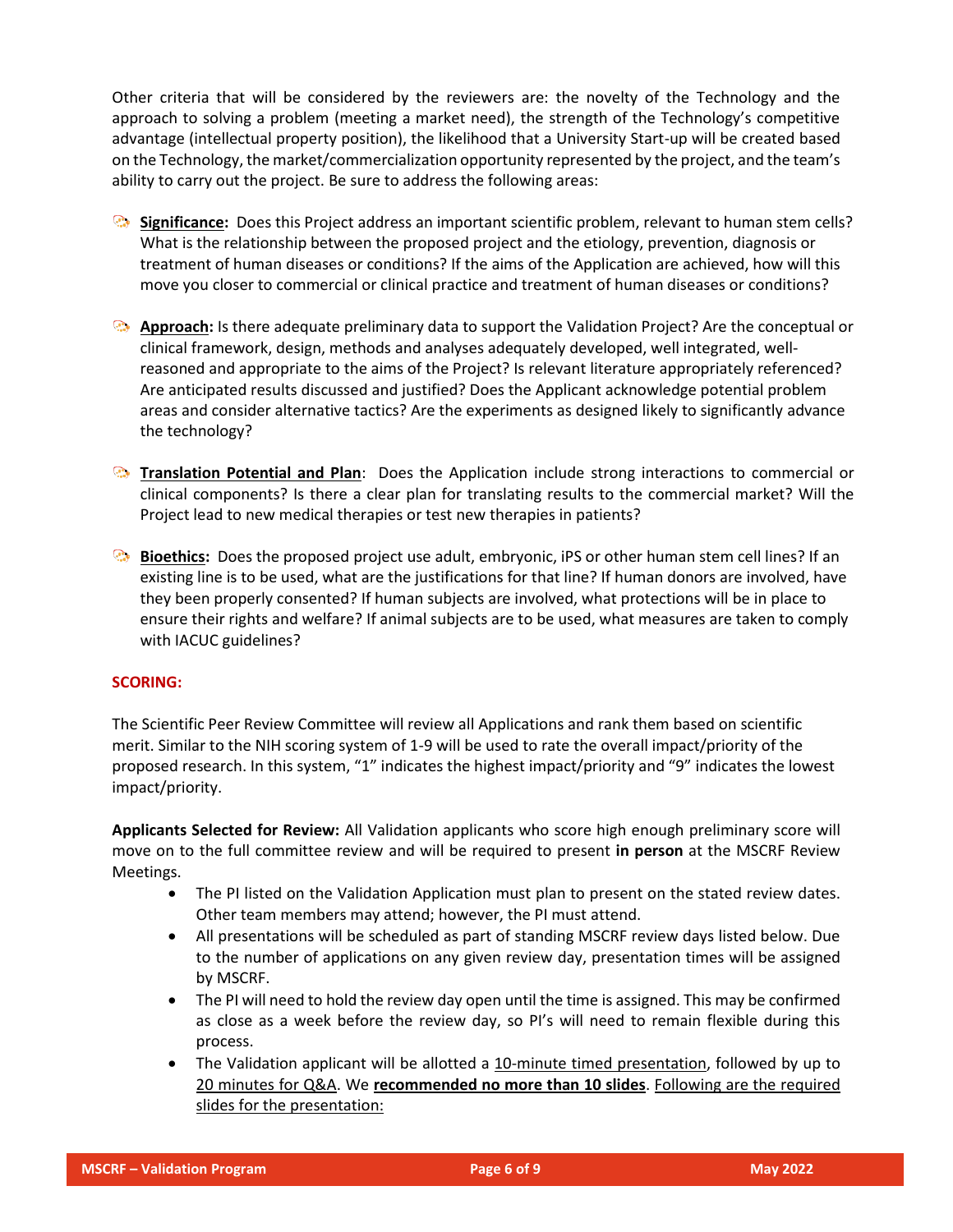Other criteria that will be considered by the reviewers are: the novelty of the Technology and the approach to solving a problem (meeting a market need), the strength of the Technology's competitive advantage (intellectual property position), the likelihood that a University Start-up will be created based on the Technology, the market/commercialization opportunity represented by the project, and the team's ability to carry out the project. Be sure to address the following areas:

- **Significance:** Does this Project address an important scientific problem, relevant to human stem cells? What is the relationship between the proposed project and the etiology, prevention, diagnosis or treatment of human diseases or conditions? If the aims of the Application are achieved, how will this move you closer to commercial or clinical practice and treatment of human diseases or conditions?
- **Approach:** Is there adequate preliminary data to support the Validation Project? Are the conceptual or clinical framework, design, methods and analyses adequately developed, well integrated, wellreasoned and appropriate to the aims of the Project? Is relevant literature appropriately referenced? Are anticipated results discussed and justified? Does the Applicant acknowledge potential problem areas and consider alternative tactics? Are the experiments as designed likely to significantly advance the technology?
- **Translation Potential and Plan**: Does the Application include strong interactions to commercial or clinical components? Is there a clear plan for translating results to the commercial market? Will the Project lead to new medical therapies or test new therapies in patients?
- **Bioethics:** Does the proposed project use adult, embryonic, iPS or other human stem cell lines? If an existing line is to be used, what are the justifications for that line? If human donors are involved, have they been properly consented? If human subjects are involved, what protections will be in place to ensure their rights and welfare? If animal subjects are to be used, what measures are taken to comply with IACUC guidelines?

#### **SCORING:**

The Scientific Peer Review Committee will review all Applications and rank them based on scientific merit. Similar to the NIH scoring system of 1-9 will be used to rate the overall impact/priority of the proposed research. In this system, "1" indicates the highest impact/priority and "9" indicates the lowest impact/priority.

**Applicants Selected for Review:** All Validation applicants who score high enough preliminary score will move on to the full committee review and will be required to present **in person** at the MSCRF Review Meetings.

- The PI listed on the Validation Application must plan to present on the stated review dates. Other team members may attend; however, the PI must attend.
- All presentations will be scheduled as part of standing MSCRF review days listed below. Due to the number of applications on any given review day, presentation times will be assigned by MSCRF.
- The PI will need to hold the review day open until the time is assigned. This may be confirmed as close as a week before the review day, so PI's will need to remain flexible during this process.
- The Validation applicant will be allotted a 10-minute timed presentation, followed by up to 20 minutes for Q&A. We **recommended no more than 10 slides**. Following are the required slides for the presentation: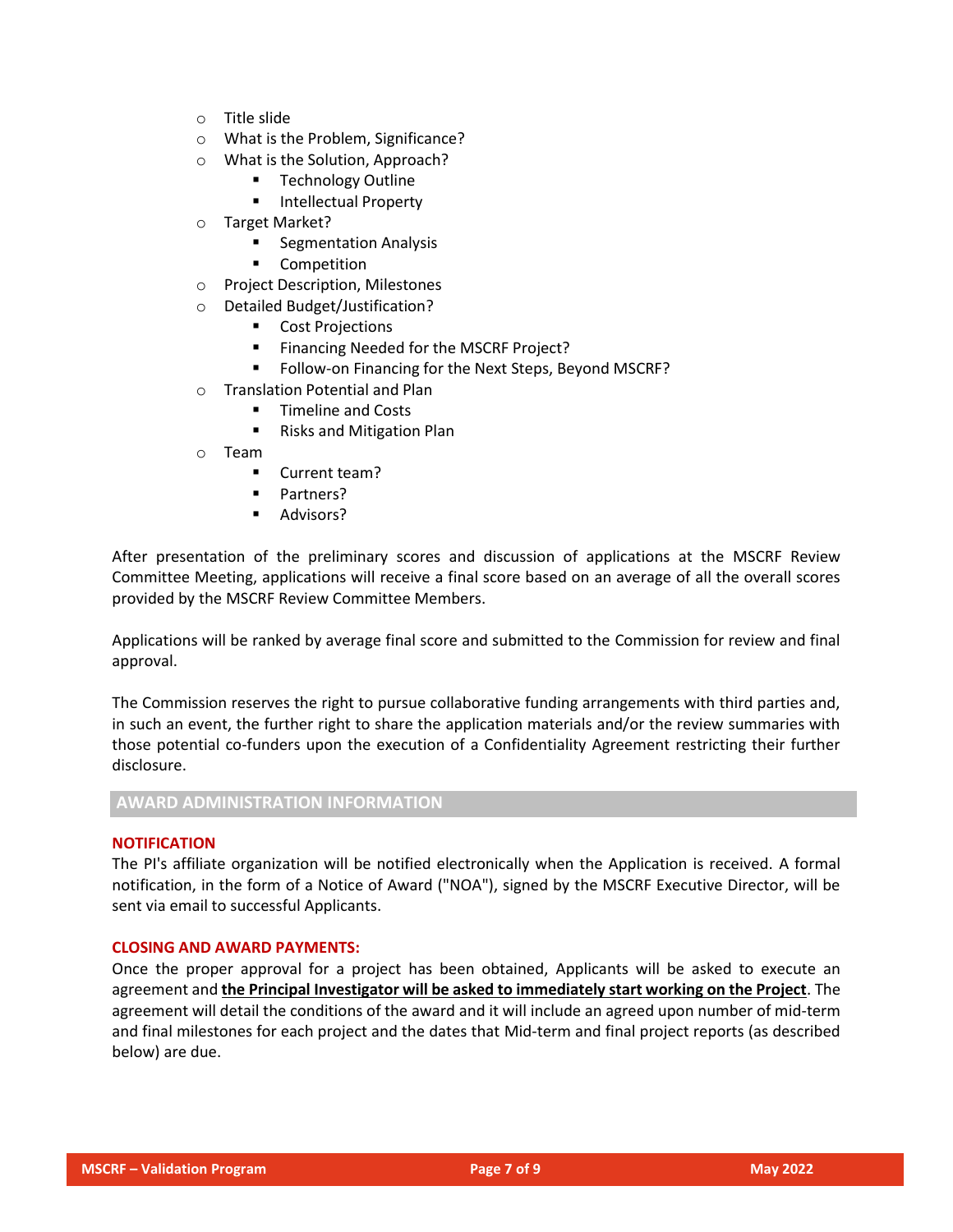- o Title slide
- o What is the Problem, Significance?
- o What is the Solution, Approach?
	- **Technology Outline**
	- Intellectual Property
- o Target Market?
	- Segmentation Analysis
	- Competition
- o Project Description, Milestones
- o Detailed Budget/Justification?
	- Cost Projections
	- Financing Needed for the MSCRF Project?
	- Follow-on Financing for the Next Steps, Beyond MSCRF?
- o Translation Potential and Plan
	- **Timeline and Costs**
	- Risks and Mitigation Plan
- o Team
	- Current team?
	- Partners?
	- Advisors?

After presentation of the preliminary scores and discussion of applications at the MSCRF Review Committee Meeting, applications will receive a final score based on an average of all the overall scores provided by the MSCRF Review Committee Members.

Applications will be ranked by average final score and submitted to the Commission for review and final approval.

The Commission reserves the right to pursue collaborative funding arrangements with third parties and, in such an event, the further right to share the application materials and/or the review summaries with those potential co-funders upon the execution of a Confidentiality Agreement restricting their further disclosure.

### **AWARD ADMINISTRATION INFORMATION**

## **NOTIFICATION**

The PI's affiliate organization will be notified electronically when the Application is received. A formal notification, in the form of a Notice of Award ("NOA"), signed by the MSCRF Executive Director, will be sent via email to successful Applicants.

#### **CLOSING AND AWARD PAYMENTS:**

Once the proper approval for a project has been obtained, Applicants will be asked to execute an agreement and **the Principal Investigator will be asked to immediately start working on the Project**. The agreement will detail the conditions of the award and it will include an agreed upon number of mid-term and final milestones for each project and the dates that Mid-term and final project reports (as described below) are due.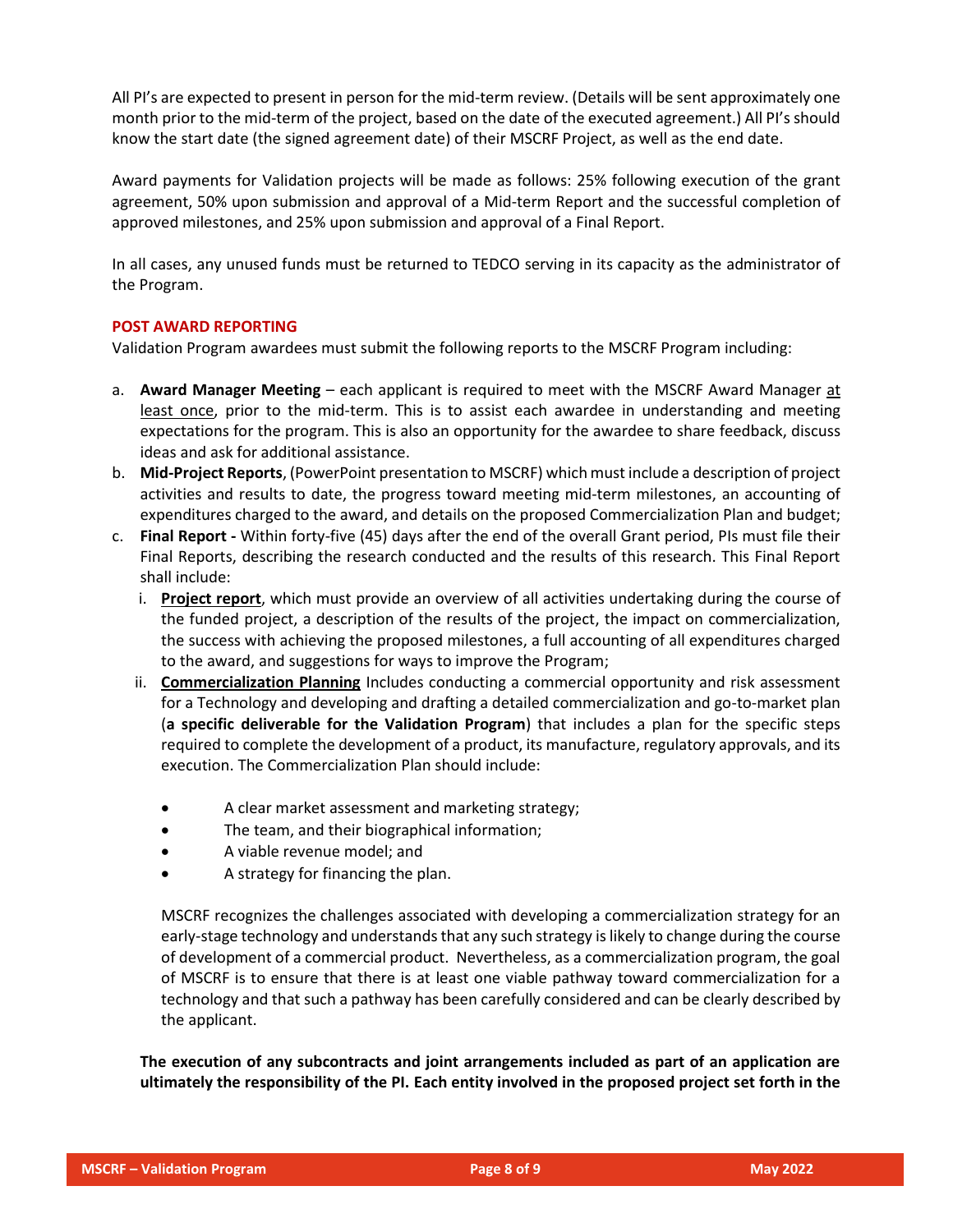All PI's are expected to present in person for the mid-term review. (Details will be sent approximately one month prior to the mid-term of the project, based on the date of the executed agreement.) All PI's should know the start date (the signed agreement date) of their MSCRF Project, as well as the end date.

Award payments for Validation projects will be made as follows: 25% following execution of the grant agreement, 50% upon submission and approval of a Mid-term Report and the successful completion of approved milestones, and 25% upon submission and approval of a Final Report.

In all cases, any unused funds must be returned to TEDCO serving in its capacity as the administrator of the Program.

# **POST AWARD REPORTING**

Validation Program awardees must submit the following reports to the MSCRF Program including:

- a. **Award Manager Meeting** each applicant is required to meet with the MSCRF Award Manager at least once, prior to the mid-term. This is to assist each awardee in understanding and meeting expectations for the program. This is also an opportunity for the awardee to share feedback, discuss ideas and ask for additional assistance.
- b. **Mid-Project Reports**, (PowerPoint presentation to MSCRF) which must include a description of project activities and results to date, the progress toward meeting mid-term milestones, an accounting of expenditures charged to the award, and details on the proposed Commercialization Plan and budget;
- c. **Final Report -** Within forty-five (45) days after the end of the overall Grant period, PIs must file their Final Reports, describing the research conducted and the results of this research. This Final Report shall include:
	- i. **Project report**, which must provide an overview of all activities undertaking during the course of the funded project, a description of the results of the project, the impact on commercialization, the success with achieving the proposed milestones, a full accounting of all expenditures charged to the award, and suggestions for ways to improve the Program;
	- ii. **Commercialization Planning** Includes conducting a commercial opportunity and risk assessment for a Technology and developing and drafting a detailed commercialization and go-to-market plan (**a specific deliverable for the Validation Program**) that includes a plan for the specific steps required to complete the development of a product, its manufacture, regulatory approvals, and its execution. The Commercialization Plan should include:
		- A clear market assessment and marketing strategy;
		- The team, and their biographical information;
		- A viable revenue model; and
		- A strategy for financing the plan.

MSCRF recognizes the challenges associated with developing a commercialization strategy for an early-stage technology and understands that any such strategy is likely to change during the course of development of a commercial product. Nevertheless, as a commercialization program, the goal of MSCRF is to ensure that there is at least one viable pathway toward commercialization for a technology and that such a pathway has been carefully considered and can be clearly described by the applicant.

**The execution of any subcontracts and joint arrangements included as part of an application are ultimately the responsibility of the PI. Each entity involved in the proposed project set forth in the**